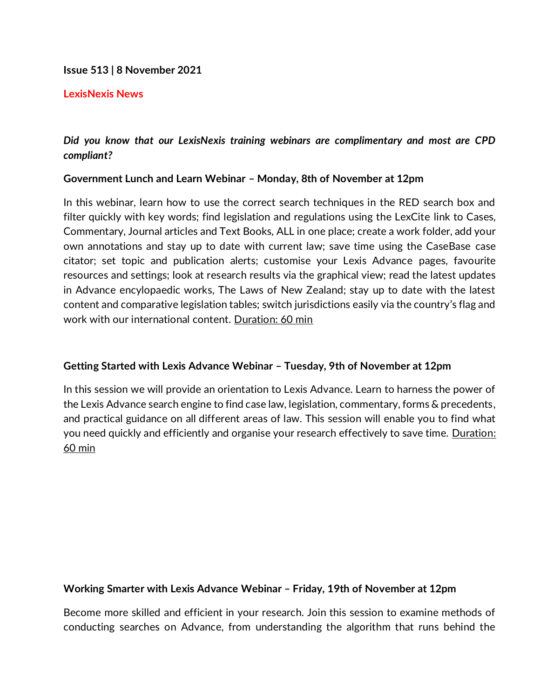## **Issue 513 | 8 November 2021**

### **LexisNexis News**

# *Did you know that our LexisNexis training webinars are complimentary and most are CPD compliant?*

## **Government Lunch and Learn Webinar – Monday, 8th of November at 12pm**

In this webinar, learn how to use the correct search techniques in the RED search box and filter quickly with key words; find legislation and regulations using the LexCite link to Cases, Commentary, Journal articles and Text Books, ALL in one place; create a work folder, add your own annotations and stay up to date with current law; save time using the CaseBase case citator; set topic and publication alerts; customise your Lexis Advance pages, favourite resources and settings; look at research results via the graphical view; read the latest updates in Advance encylopaedic works, The Laws of New Zealand; stay up to date with the latest content and comparative legislation tables; switch jurisdictions easily via the country's flag and work with our international content. Duration: 60 min

## **Getting Started with Lexis Advance Webinar – Tuesday, 9th of November at 12pm**

In this session we will provide an orientation to Lexis Advance. Learn to harness the power of the Lexis Advance search engine to find case law, legislation, commentary, forms & precedents, and practical guidance on all different areas of law. This session will enable you to find what you need quickly and efficiently and organise your research effectively to save time. Duration: 60 min

## **Working Smarter with Lexis Advance Webinar – Friday, 19th of November at 12pm**

Become more skilled and efficient in your research. Join this session to examine methods of conducting searches on Advance, from understanding the algorithm that runs behind the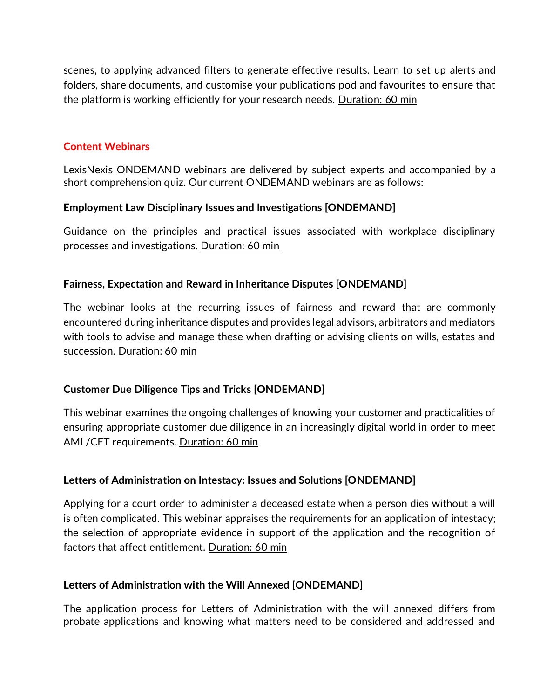scenes, to applying advanced filters to generate effective results. Learn to set up alerts and folders, share documents, and customise your publications pod and favourites to ensure that the platform is working efficiently for your research needs. Duration: 60 min

## **Content Webinars**

LexisNexis ONDEMAND webinars are delivered by subject experts and accompanied by a short comprehension quiz. Our current ONDEMAND webinars are as follows:

## **Employment Law Disciplinary Issues and Investigations [ONDEMAND]**

Guidance on the principles and practical issues associated with workplace disciplinary processes and investigations. Duration: 60 min

## **Fairness, Expectation and Reward in Inheritance Disputes [ONDEMAND]**

The webinar looks at the recurring issues of fairness and reward that are commonly encountered during inheritance disputes and provides legal advisors, arbitrators and mediators with tools to advise and manage these when drafting or advising clients on wills, estates and succession. Duration: 60 min

## **Customer Due Diligence Tips and Tricks [ONDEMAND]**

This webinar examines the ongoing challenges of knowing your customer and practicalities of ensuring appropriate customer due diligence in an increasingly digital world in order to meet AML/CFT requirements. Duration: 60 min

## **Letters of Administration on Intestacy: Issues and Solutions [ONDEMAND]**

Applying for a court order to administer a deceased estate when a person dies without a will is often complicated. This webinar appraises the requirements for an application of intestacy; the selection of appropriate evidence in support of the application and the recognition of factors that affect entitlement. Duration: 60 min

## **Letters of Administration with the Will Annexed [ONDEMAND]**

The application process for Letters of Administration with the will annexed differs from probate applications and knowing what matters need to be considered and addressed and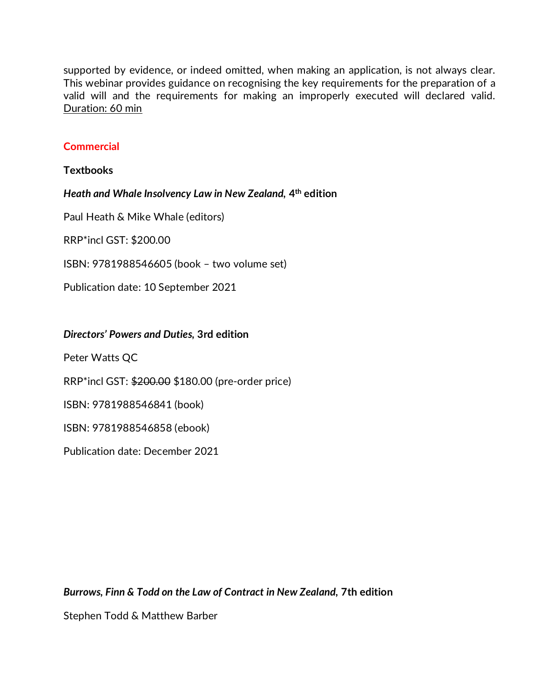supported by evidence, or indeed omitted, when making an application, is not always clear. This webinar provides guidance on recognising the key requirements for the preparation of a valid will and the requirements for making an improperly executed will declared valid. Duration: 60 min

## **Commercial**

**Textbooks**

*Heath and Whale Insolvency Law in New Zealand,* **4 th edition**

Paul Heath & Mike Whale (editors)

RRP\*incl GST: \$200.00

ISBN: 9781988546605 (book – two volume set)

Publication date: 10 September 2021

### *Directors' Powers and Duties,* **3rd edition**

Peter Watts QC

RRP\*incl GST: \$200.00 \$180.00 (pre-order price)

ISBN: 9781988546841 (book)

ISBN: 9781988546858 (ebook)

Publication date: December 2021

*Burrows, Finn & Todd on the Law of Contract in New Zealand,* **7th edition**

Stephen Todd & Matthew Barber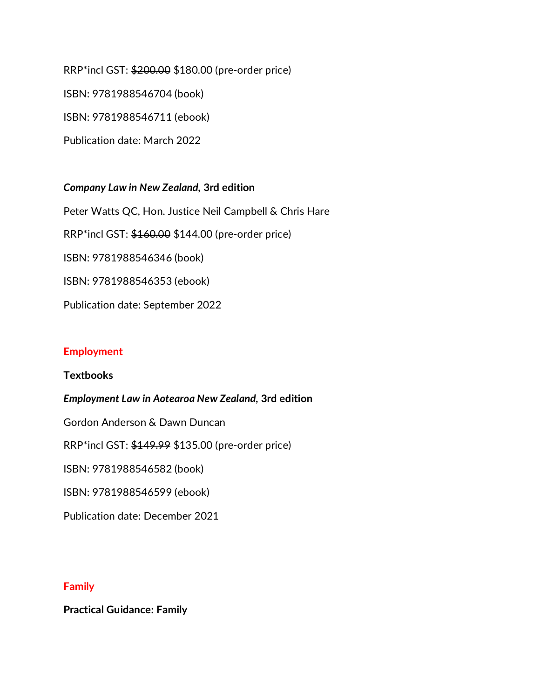RRP\*incl GST: \$200.00 \$180.00 (pre-order price) ISBN: 9781988546704 (book) ISBN: 9781988546711 (ebook) Publication date: March 2022

*Company Law in New Zealand,* **3rd edition** Peter Watts QC, Hon. Justice Neil Campbell & Chris Hare RRP\*incl GST: \$160.00 \$144.00 (pre-order price) ISBN: 9781988546346 (book) ISBN: 9781988546353 (ebook) Publication date: September 2022

## **Employment**

**Textbooks**

*Employment Law in Aotearoa New Zealand,* **3rd edition**

Gordon Anderson & Dawn Duncan

RRP\*incl GST: \$149.99 \$135.00 (pre-order price)

ISBN: 9781988546582 (book)

ISBN: 9781988546599 (ebook)

Publication date: December 2021

## **Family**

**Practical Guidance: Family**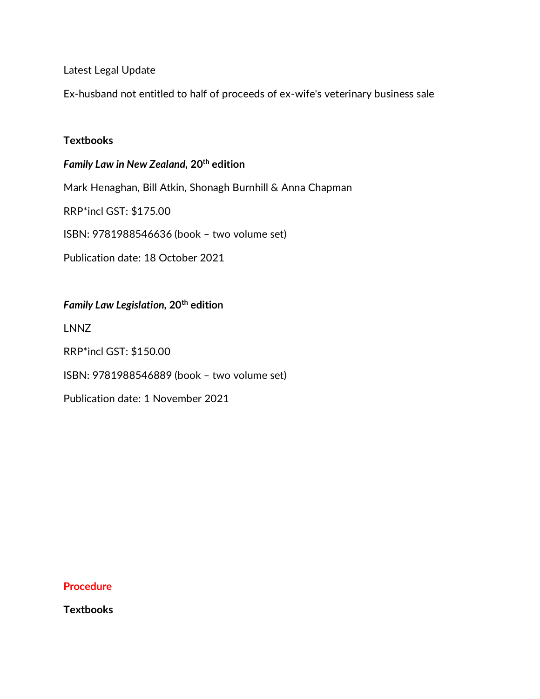Latest Legal Update

Ex-husband not entitled to half of proceeds of ex-wife's veterinary business sale

### **Textbooks**

*Family Law in New Zealand,* **20th edition** Mark Henaghan, Bill Atkin, Shonagh Burnhill & Anna Chapman RRP\*incl GST: \$175.00 ISBN: 9781988546636 (book – two volume set) Publication date: 18 October 2021

*Family Law Legislation,* **20th edition** LNNZ RRP\*incl GST: \$150.00 ISBN: 9781988546889 (book – two volume set) Publication date: 1 November 2021

#### **Procedure**

**Textbooks**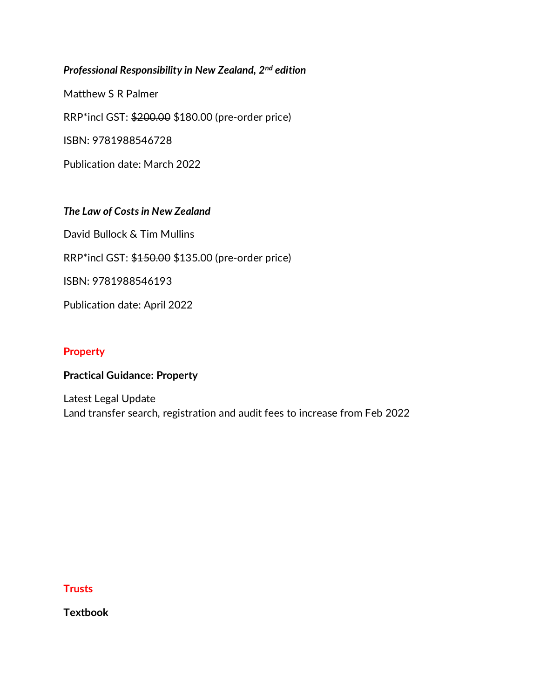## *Professional Responsibility in New Zealand, 2nd edition*

Matthew S R Palmer

RRP\*incl GST: \$200.00 \$180.00 (pre-order price)

ISBN: 9781988546728

Publication date: March 2022

## *The Law of Costs in New Zealand*

David Bullock & Tim Mullins

RRP\*incl GST: \$150.00 \$135.00 (pre-order price)

ISBN: 9781988546193

Publication date: April 2022

## **Property**

## **Practical Guidance: Property**

Latest Legal Update Land transfer search, registration and audit fees to increase from Feb 2022

### **Trusts**

**Textbook**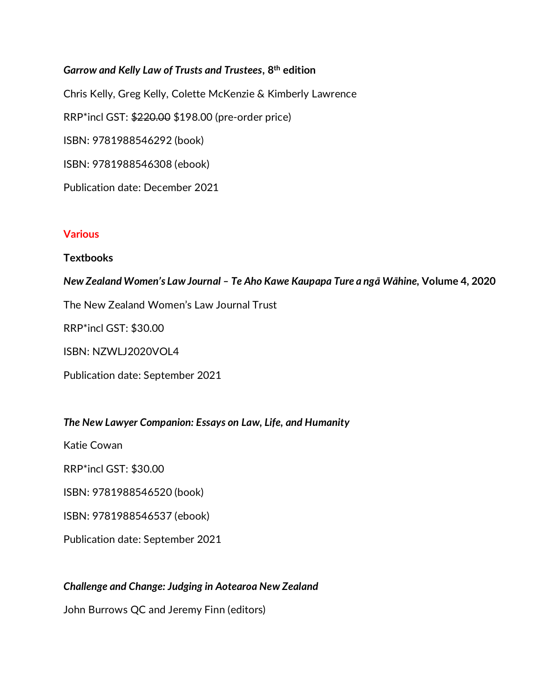*Garrow and Kelly Law of Trusts and Trustees***, 8th edition** Chris Kelly, Greg Kelly, Colette McKenzie & Kimberly Lawrence RRP\*incl GST: \$220.00 \$198.00 (pre-order price) ISBN: 9781988546292 (book) ISBN: 9781988546308 (ebook) Publication date: December 2021

## **Various**

### **Textbooks**

### *New Zealand Women's Law Journal – Te Aho Kawe Kaupapa Ture a ngā Wāhine,* **Volume 4, 2020**

The New Zealand Women's Law Journal Trust

RRP\*incl GST: \$30.00

ISBN: NZWLJ2020VOL4

Publication date: September 2021

#### *The New Lawyer Companion: Essays on Law, Life, and Humanity*

Katie Cowan

RRP\*incl GST: \$30.00

ISBN: 9781988546520 (book)

ISBN: 9781988546537 (ebook)

Publication date: September 2021

#### *Challenge and Change: Judging in Aotearoa New Zealand*

John Burrows QC and Jeremy Finn (editors)